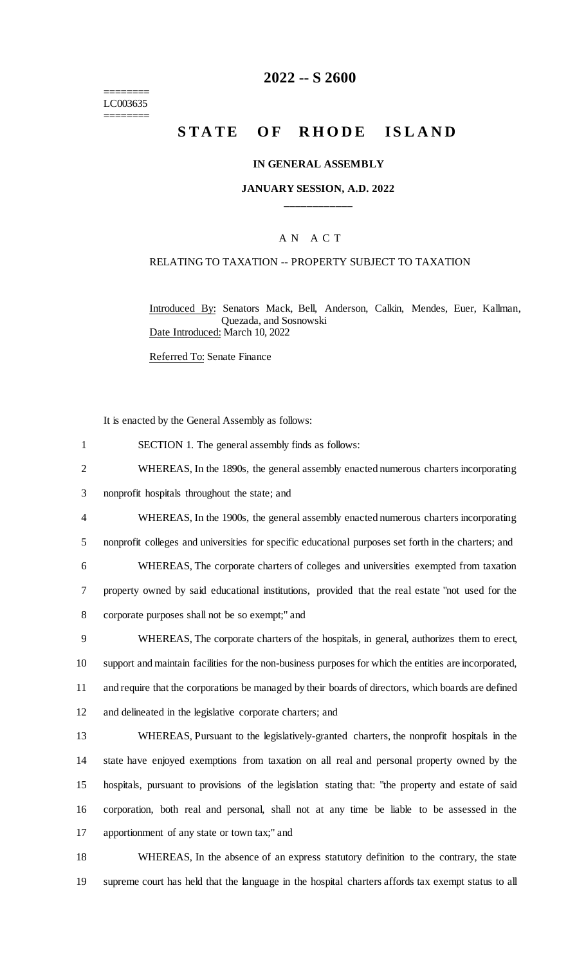======== LC003635 ========

## **2022 -- S 2600**

## **STATE OF RHODE ISLAND**

#### **IN GENERAL ASSEMBLY**

#### **JANUARY SESSION, A.D. 2022 \_\_\_\_\_\_\_\_\_\_\_\_**

#### A N A C T

#### RELATING TO TAXATION -- PROPERTY SUBJECT TO TAXATION

Introduced By: Senators Mack, Bell, Anderson, Calkin, Mendes, Euer, Kallman, Quezada, and Sosnowski Date Introduced: March 10, 2022

Referred To: Senate Finance

It is enacted by the General Assembly as follows:

- 1 SECTION 1. The general assembly finds as follows:
- 2 WHEREAS, In the 1890s, the general assembly enacted numerous charters incorporating
- 3 nonprofit hospitals throughout the state; and
- 4 WHEREAS, In the 1900s, the general assembly enacted numerous charters incorporating

5 nonprofit colleges and universities for specific educational purposes set forth in the charters; and

6 WHEREAS, The corporate charters of colleges and universities exempted from taxation 7 property owned by said educational institutions, provided that the real estate "not used for the 8 corporate purposes shall not be so exempt;" and

 WHEREAS, The corporate charters of the hospitals, in general, authorizes them to erect, support and maintain facilities for the non-business purposes for which the entities are incorporated, and require that the corporations be managed by their boards of directors, which boards are defined and delineated in the legislative corporate charters; and

 WHEREAS, Pursuant to the legislatively-granted charters, the nonprofit hospitals in the state have enjoyed exemptions from taxation on all real and personal property owned by the hospitals, pursuant to provisions of the legislation stating that: "the property and estate of said corporation, both real and personal, shall not at any time be liable to be assessed in the apportionment of any state or town tax;" and

18 WHEREAS, In the absence of an express statutory definition to the contrary, the state 19 supreme court has held that the language in the hospital charters affords tax exempt status to all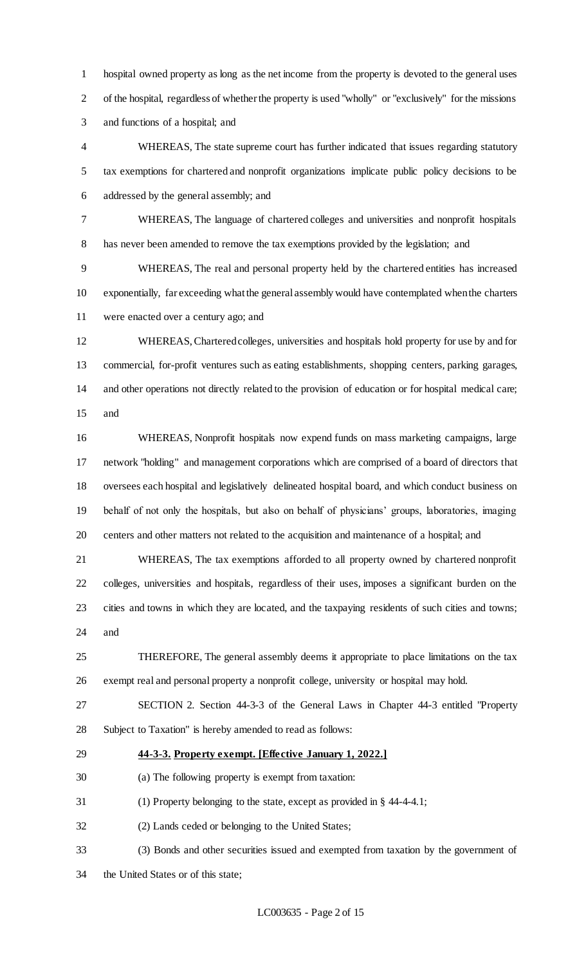hospital owned property as long as the net income from the property is devoted to the general uses of the hospital, regardless of whether the property is used "wholly" or "exclusively" for the missions and functions of a hospital; and

 WHEREAS, The state supreme court has further indicated that issues regarding statutory tax exemptions for chartered and nonprofit organizations implicate public policy decisions to be addressed by the general assembly; and

 WHEREAS, The language of chartered colleges and universities and nonprofit hospitals has never been amended to remove the tax exemptions provided by the legislation; and

 WHEREAS, The real and personal property held by the chartered entities has increased exponentially, far exceeding what the general assembly would have contemplated when the charters were enacted over a century ago; and

 WHEREAS, Chartered colleges, universities and hospitals hold property for use by and for commercial, for-profit ventures such as eating establishments, shopping centers, parking garages, and other operations not directly related to the provision of education or for hospital medical care; and

 WHEREAS, Nonprofit hospitals now expend funds on mass marketing campaigns, large network "holding" and management corporations which are comprised of a board of directors that oversees each hospital and legislatively delineated hospital board, and which conduct business on behalf of not only the hospitals, but also on behalf of physicians' groups, laboratories, imaging centers and other matters not related to the acquisition and maintenance of a hospital; and

 WHEREAS, The tax exemptions afforded to all property owned by chartered nonprofit colleges, universities and hospitals, regardless of their uses, imposes a significant burden on the cities and towns in which they are located, and the taxpaying residents of such cities and towns; and

 THEREFORE, The general assembly deems it appropriate to place limitations on the tax exempt real and personal property a nonprofit college, university or hospital may hold.

 SECTION 2. Section 44-3-3 of the General Laws in Chapter 44-3 entitled "Property Subject to Taxation" is hereby amended to read as follows:

## **44-3-3. Property exempt. [Effective January 1, 2022.]**

(a) The following property is exempt from taxation:

(1) Property belonging to the state, except as provided in § 44-4-4.1;

(2) Lands ceded or belonging to the United States;

- (3) Bonds and other securities issued and exempted from taxation by the government of
- the United States or of this state;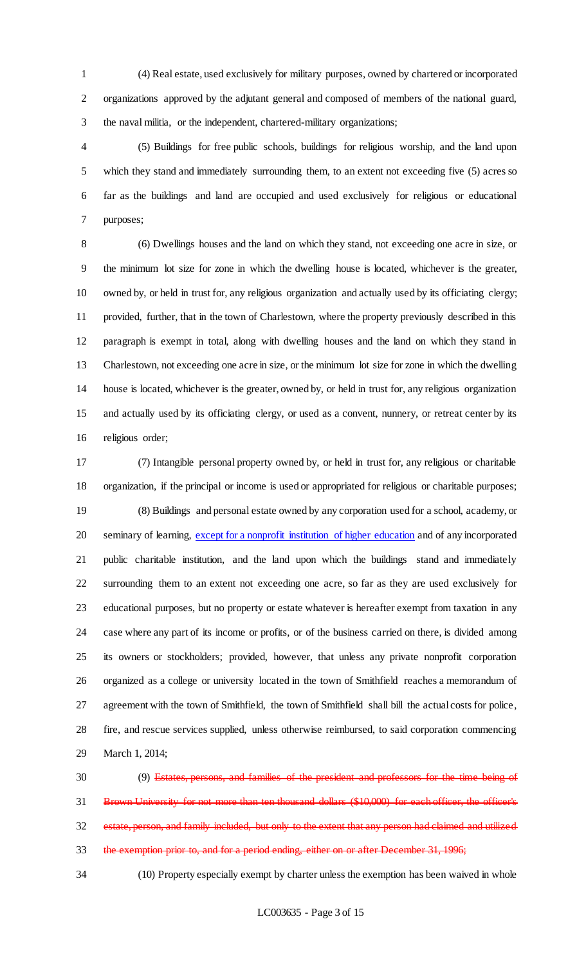(4) Real estate, used exclusively for military purposes, owned by chartered or incorporated organizations approved by the adjutant general and composed of members of the national guard, the naval militia, or the independent, chartered-military organizations;

 (5) Buildings for free public schools, buildings for religious worship, and the land upon which they stand and immediately surrounding them, to an extent not exceeding five (5) acres so far as the buildings and land are occupied and used exclusively for religious or educational purposes;

 (6) Dwellings houses and the land on which they stand, not exceeding one acre in size, or the minimum lot size for zone in which the dwelling house is located, whichever is the greater, owned by, or held in trust for, any religious organization and actually used by its officiating clergy; provided, further, that in the town of Charlestown, where the property previously described in this paragraph is exempt in total, along with dwelling houses and the land on which they stand in Charlestown, not exceeding one acre in size, or the minimum lot size for zone in which the dwelling house is located, whichever is the greater, owned by, or held in trust for, any religious organization and actually used by its officiating clergy, or used as a convent, nunnery, or retreat center by its religious order;

 (7) Intangible personal property owned by, or held in trust for, any religious or charitable organization, if the principal or income is used or appropriated for religious or charitable purposes; (8) Buildings and personal estate owned by any corporation used for a school, academy, or 20 seminary of learning, except for a nonprofit institution of higher education and of any incorporated public charitable institution, and the land upon which the buildings stand and immediately surrounding them to an extent not exceeding one acre, so far as they are used exclusively for educational purposes, but no property or estate whatever is hereafter exempt from taxation in any case where any part of its income or profits, or of the business carried on there, is divided among its owners or stockholders; provided, however, that unless any private nonprofit corporation organized as a college or university located in the town of Smithfield reaches a memorandum of agreement with the town of Smithfield, the town of Smithfield shall bill the actual costs for police, fire, and rescue services supplied, unless otherwise reimbursed, to said corporation commencing March 1, 2014;

 (9) Estates, persons, and families of the president and professors for the time being of 31 Brown University for not more than ten thousand dollars (\$10,000) for each officer, the officer's estate, person, and family included, but only to the extent that any person had claimed and utilized 33 the exemption prior to, and for a period ending, either on or after December 31, 1996;

(10) Property especially exempt by charter unless the exemption has been waived in whole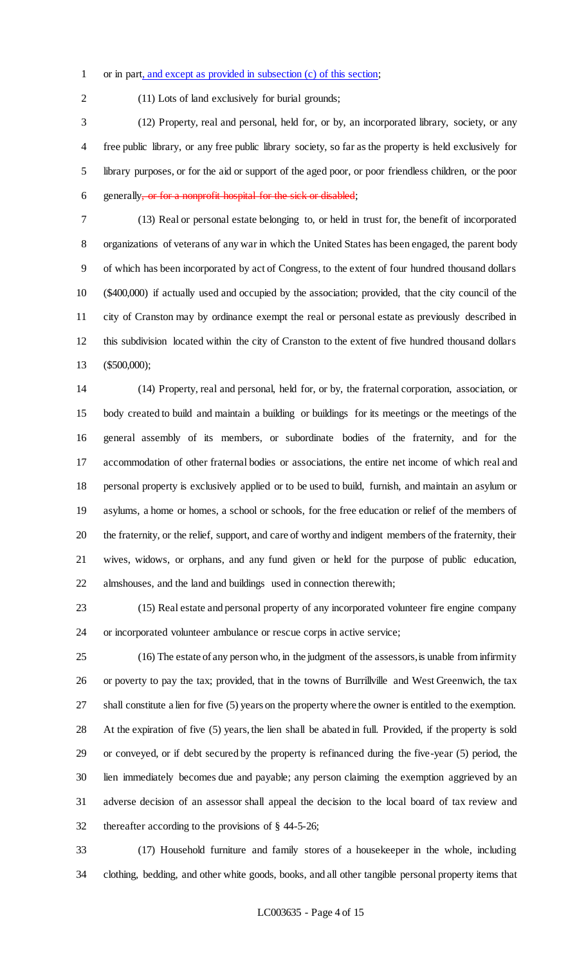#### or in part, and except as provided in subsection (c) of this section;

(11) Lots of land exclusively for burial grounds;

 (12) Property, real and personal, held for, or by, an incorporated library, society, or any free public library, or any free public library society, so far as the property is held exclusively for library purposes, or for the aid or support of the aged poor, or poor friendless children, or the poor generally, or for a nonprofit hospital for the sick or disabled;

 (13) Real or personal estate belonging to, or held in trust for, the benefit of incorporated organizations of veterans of any war in which the United States has been engaged, the parent body of which has been incorporated by act of Congress, to the extent of four hundred thousand dollars (\$400,000) if actually used and occupied by the association; provided, that the city council of the city of Cranston may by ordinance exempt the real or personal estate as previously described in this subdivision located within the city of Cranston to the extent of five hundred thousand dollars (\$500,000);

 (14) Property, real and personal, held for, or by, the fraternal corporation, association, or body created to build and maintain a building or buildings for its meetings or the meetings of the general assembly of its members, or subordinate bodies of the fraternity, and for the accommodation of other fraternal bodies or associations, the entire net income of which real and personal property is exclusively applied or to be used to build, furnish, and maintain an asylum or asylums, a home or homes, a school or schools, for the free education or relief of the members of the fraternity, or the relief, support, and care of worthy and indigent members of the fraternity, their wives, widows, or orphans, and any fund given or held for the purpose of public education, almshouses, and the land and buildings used in connection therewith;

 (15) Real estate and personal property of any incorporated volunteer fire engine company or incorporated volunteer ambulance or rescue corps in active service;

 (16) The estate of any person who, in the judgment of the assessors, is unable from infirmity or poverty to pay the tax; provided, that in the towns of Burrillville and West Greenwich, the tax shall constitute a lien for five (5) years on the property where the owner is entitled to the exemption. At the expiration of five (5) years, the lien shall be abated in full. Provided, if the property is sold or conveyed, or if debt secured by the property is refinanced during the five-year (5) period, the lien immediately becomes due and payable; any person claiming the exemption aggrieved by an adverse decision of an assessor shall appeal the decision to the local board of tax review and thereafter according to the provisions of § 44-5-26;

 (17) Household furniture and family stores of a housekeeper in the whole, including clothing, bedding, and other white goods, books, and all other tangible personal property items that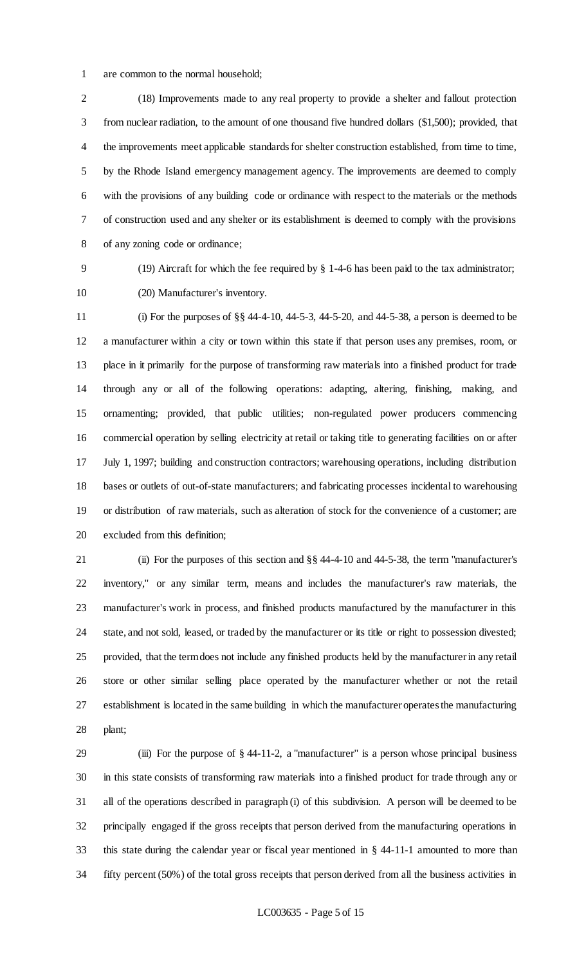are common to the normal household;

 (18) Improvements made to any real property to provide a shelter and fallout protection from nuclear radiation, to the amount of one thousand five hundred dollars (\$1,500); provided, that the improvements meet applicable standards for shelter construction established, from time to time, by the Rhode Island emergency management agency. The improvements are deemed to comply with the provisions of any building code or ordinance with respect to the materials or the methods of construction used and any shelter or its establishment is deemed to comply with the provisions of any zoning code or ordinance;

 (19) Aircraft for which the fee required by § 1-4-6 has been paid to the tax administrator; (20) Manufacturer's inventory.

 (i) For the purposes of §§ 44-4-10, 44-5-3, 44-5-20, and 44-5-38, a person is deemed to be a manufacturer within a city or town within this state if that person uses any premises, room, or place in it primarily for the purpose of transforming raw materials into a finished product for trade through any or all of the following operations: adapting, altering, finishing, making, and ornamenting; provided, that public utilities; non-regulated power producers commencing commercial operation by selling electricity at retail or taking title to generating facilities on or after July 1, 1997; building and construction contractors; warehousing operations, including distribution bases or outlets of out-of-state manufacturers; and fabricating processes incidental to warehousing or distribution of raw materials, such as alteration of stock for the convenience of a customer; are excluded from this definition;

 (ii) For the purposes of this section and §§ 44-4-10 and 44-5-38, the term "manufacturer's inventory," or any similar term, means and includes the manufacturer's raw materials, the manufacturer's work in process, and finished products manufactured by the manufacturer in this state, and not sold, leased, or traded by the manufacturer or its title or right to possession divested; provided, that the term does not include any finished products held by the manufacturer in any retail store or other similar selling place operated by the manufacturer whether or not the retail establishment is located in the same building in which the manufacturer operates the manufacturing plant;

 (iii) For the purpose of § 44-11-2, a "manufacturer" is a person whose principal business in this state consists of transforming raw materials into a finished product for trade through any or all of the operations described in paragraph (i) of this subdivision. A person will be deemed to be principally engaged if the gross receipts that person derived from the manufacturing operations in this state during the calendar year or fiscal year mentioned in § 44-11-1 amounted to more than fifty percent (50%) of the total gross receipts that person derived from all the business activities in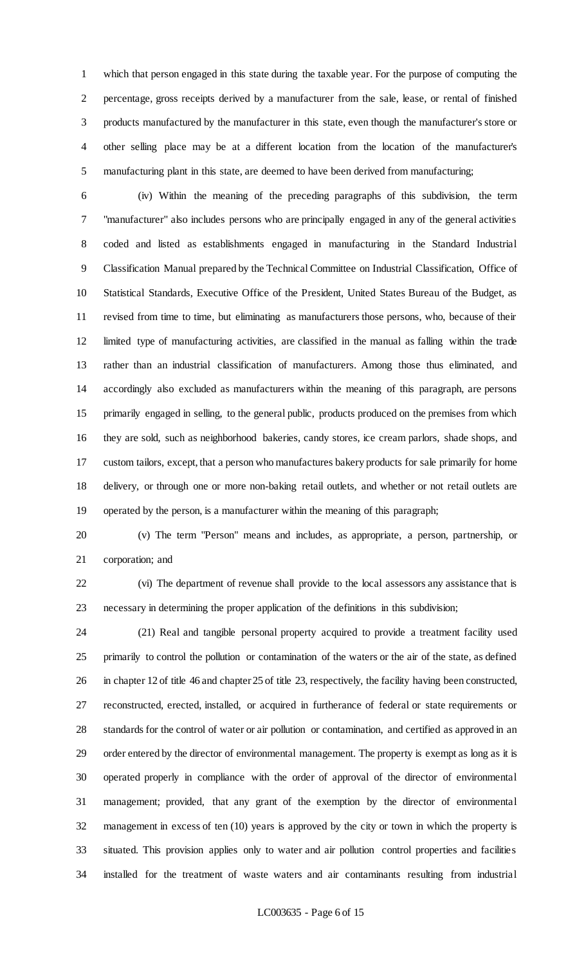which that person engaged in this state during the taxable year. For the purpose of computing the percentage, gross receipts derived by a manufacturer from the sale, lease, or rental of finished products manufactured by the manufacturer in this state, even though the manufacturer's store or other selling place may be at a different location from the location of the manufacturer's manufacturing plant in this state, are deemed to have been derived from manufacturing;

 (iv) Within the meaning of the preceding paragraphs of this subdivision, the term "manufacturer" also includes persons who are principally engaged in any of the general activities coded and listed as establishments engaged in manufacturing in the Standard Industrial Classification Manual prepared by the Technical Committee on Industrial Classification, Office of Statistical Standards, Executive Office of the President, United States Bureau of the Budget, as revised from time to time, but eliminating as manufacturers those persons, who, because of their limited type of manufacturing activities, are classified in the manual as falling within the trade rather than an industrial classification of manufacturers. Among those thus eliminated, and accordingly also excluded as manufacturers within the meaning of this paragraph, are persons primarily engaged in selling, to the general public, products produced on the premises from which they are sold, such as neighborhood bakeries, candy stores, ice cream parlors, shade shops, and custom tailors, except, that a person who manufactures bakery products for sale primarily for home delivery, or through one or more non-baking retail outlets, and whether or not retail outlets are operated by the person, is a manufacturer within the meaning of this paragraph;

 (v) The term "Person" means and includes, as appropriate, a person, partnership, or corporation; and

 (vi) The department of revenue shall provide to the local assessors any assistance that is necessary in determining the proper application of the definitions in this subdivision;

 (21) Real and tangible personal property acquired to provide a treatment facility used primarily to control the pollution or contamination of the waters or the air of the state, as defined in chapter 12 of title 46 and chapter 25 of title 23, respectively, the facility having been constructed, reconstructed, erected, installed, or acquired in furtherance of federal or state requirements or standards for the control of water or air pollution or contamination, and certified as approved in an order entered by the director of environmental management. The property is exempt as long as it is operated properly in compliance with the order of approval of the director of environmental management; provided, that any grant of the exemption by the director of environmental management in excess of ten (10) years is approved by the city or town in which the property is situated. This provision applies only to water and air pollution control properties and facilities installed for the treatment of waste waters and air contaminants resulting from industrial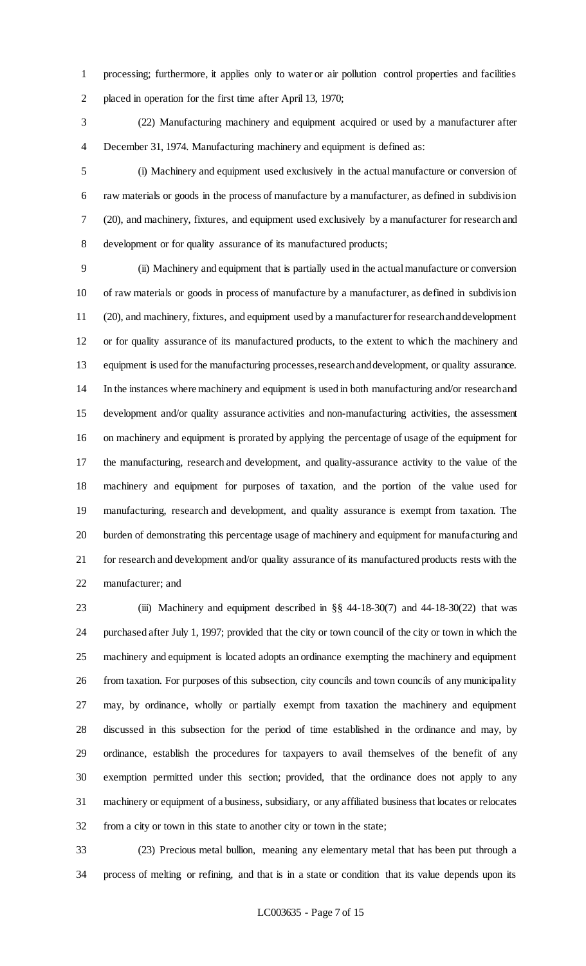processing; furthermore, it applies only to water or air pollution control properties and facilities placed in operation for the first time after April 13, 1970;

 (22) Manufacturing machinery and equipment acquired or used by a manufacturer after December 31, 1974. Manufacturing machinery and equipment is defined as:

 (i) Machinery and equipment used exclusively in the actual manufacture or conversion of raw materials or goods in the process of manufacture by a manufacturer, as defined in subdivision (20), and machinery, fixtures, and equipment used exclusively by a manufacturer for research and development or for quality assurance of its manufactured products;

 (ii) Machinery and equipment that is partially used in the actual manufacture or conversion of raw materials or goods in process of manufacture by a manufacturer, as defined in subdivision (20), and machinery, fixtures, and equipment used by a manufacturer for research and development or for quality assurance of its manufactured products, to the extent to which the machinery and equipment is used for the manufacturing processes, research and development, or quality assurance. In the instances where machinery and equipment is used in both manufacturing and/or research and development and/or quality assurance activities and non-manufacturing activities, the assessment on machinery and equipment is prorated by applying the percentage of usage of the equipment for the manufacturing, research and development, and quality-assurance activity to the value of the machinery and equipment for purposes of taxation, and the portion of the value used for manufacturing, research and development, and quality assurance is exempt from taxation. The burden of demonstrating this percentage usage of machinery and equipment for manufacturing and for research and development and/or quality assurance of its manufactured products rests with the manufacturer; and

 (iii) Machinery and equipment described in §§ 44-18-30(7) and 44-18-30(22) that was purchased after July 1, 1997; provided that the city or town council of the city or town in which the machinery and equipment is located adopts an ordinance exempting the machinery and equipment from taxation. For purposes of this subsection, city councils and town councils of any municipality may, by ordinance, wholly or partially exempt from taxation the machinery and equipment discussed in this subsection for the period of time established in the ordinance and may, by ordinance, establish the procedures for taxpayers to avail themselves of the benefit of any exemption permitted under this section; provided, that the ordinance does not apply to any machinery or equipment of a business, subsidiary, or any affiliated business that locates or relocates from a city or town in this state to another city or town in the state;

 (23) Precious metal bullion, meaning any elementary metal that has been put through a process of melting or refining, and that is in a state or condition that its value depends upon its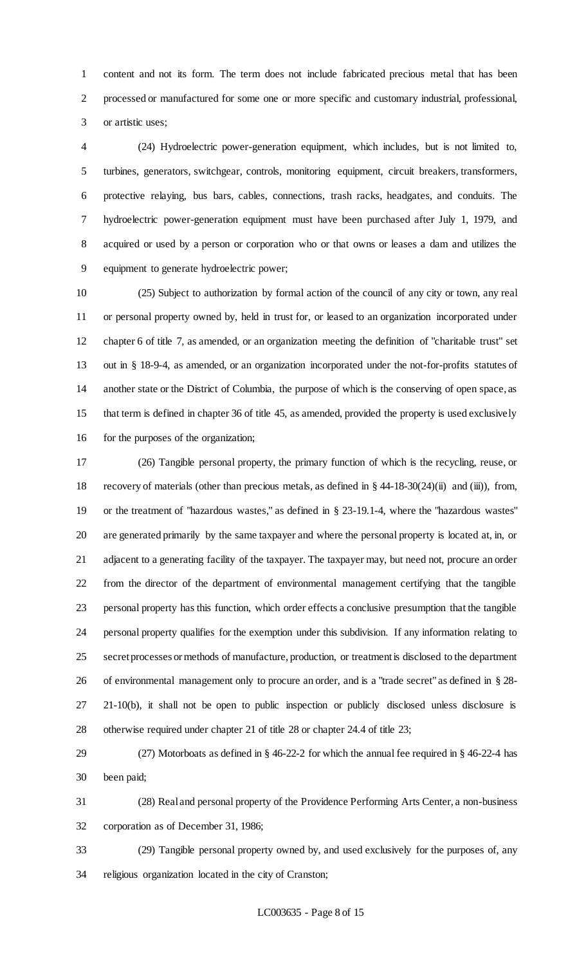content and not its form. The term does not include fabricated precious metal that has been processed or manufactured for some one or more specific and customary industrial, professional, or artistic uses;

 (24) Hydroelectric power-generation equipment, which includes, but is not limited to, turbines, generators, switchgear, controls, monitoring equipment, circuit breakers, transformers, protective relaying, bus bars, cables, connections, trash racks, headgates, and conduits. The hydroelectric power-generation equipment must have been purchased after July 1, 1979, and acquired or used by a person or corporation who or that owns or leases a dam and utilizes the equipment to generate hydroelectric power;

 (25) Subject to authorization by formal action of the council of any city or town, any real or personal property owned by, held in trust for, or leased to an organization incorporated under chapter 6 of title 7, as amended, or an organization meeting the definition of "charitable trust" set out in § 18-9-4, as amended, or an organization incorporated under the not-for-profits statutes of another state or the District of Columbia, the purpose of which is the conserving of open space, as that term is defined in chapter 36 of title 45, as amended, provided the property is used exclusively 16 for the purposes of the organization;

 (26) Tangible personal property, the primary function of which is the recycling, reuse, or recovery of materials (other than precious metals, as defined in § 44-18-30(24)(ii) and (iii)), from, or the treatment of "hazardous wastes," as defined in § 23-19.1-4, where the "hazardous wastes" are generated primarily by the same taxpayer and where the personal property is located at, in, or adjacent to a generating facility of the taxpayer. The taxpayer may, but need not, procure an order from the director of the department of environmental management certifying that the tangible personal property has this function, which order effects a conclusive presumption that the tangible personal property qualifies for the exemption under this subdivision. If any information relating to secret processes or methods of manufacture, production, or treatment is disclosed to the department of environmental management only to procure an order, and is a "trade secret" as defined in § 28- 21-10(b), it shall not be open to public inspection or publicly disclosed unless disclosure is otherwise required under chapter 21 of title 28 or chapter 24.4 of title 23;

 (27) Motorboats as defined in § 46-22-2 for which the annual fee required in § 46-22-4 has been paid;

 (28) Real and personal property of the Providence Performing Arts Center, a non-business corporation as of December 31, 1986;

 (29) Tangible personal property owned by, and used exclusively for the purposes of, any religious organization located in the city of Cranston;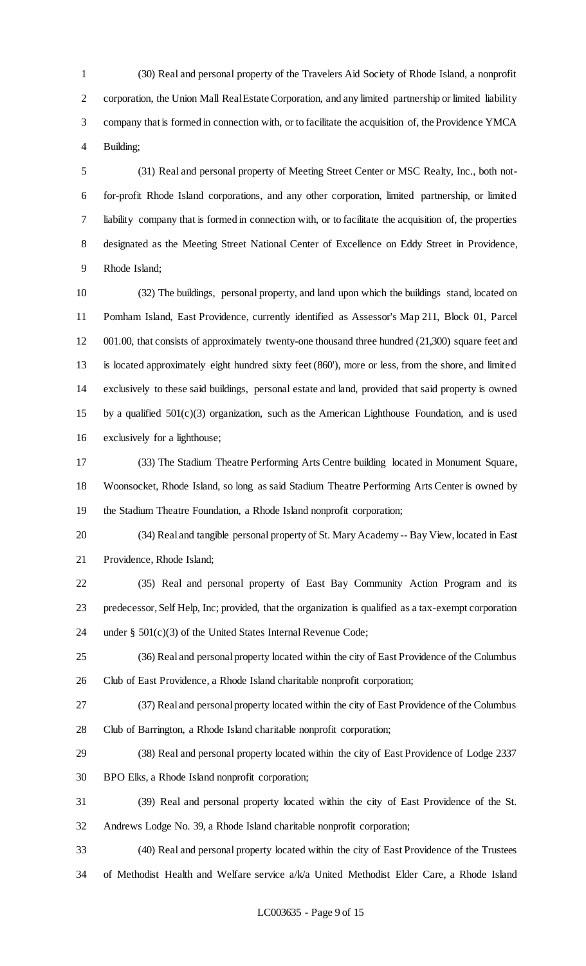(30) Real and personal property of the Travelers Aid Society of Rhode Island, a nonprofit 2 corporation, the Union Mall Real Estate Corporation, and any limited partnership or limited liability company that is formed in connection with, or to facilitate the acquisition of, the Providence YMCA Building;

 (31) Real and personal property of Meeting Street Center or MSC Realty, Inc., both not- for-profit Rhode Island corporations, and any other corporation, limited partnership, or limited liability company that is formed in connection with, or to facilitate the acquisition of, the properties designated as the Meeting Street National Center of Excellence on Eddy Street in Providence, Rhode Island;

 (32) The buildings, personal property, and land upon which the buildings stand, located on Pomham Island, East Providence, currently identified as Assessor's Map 211, Block 01, Parcel 12 001.00, that consists of approximately twenty-one thousand three hundred (21,300) square feet and is located approximately eight hundred sixty feet (860'), more or less, from the shore, and limited exclusively to these said buildings, personal estate and land, provided that said property is owned by a qualified 501(c)(3) organization, such as the American Lighthouse Foundation, and is used exclusively for a lighthouse;

 (33) The Stadium Theatre Performing Arts Centre building located in Monument Square, Woonsocket, Rhode Island, so long as said Stadium Theatre Performing Arts Center is owned by the Stadium Theatre Foundation, a Rhode Island nonprofit corporation;

 (34) Real and tangible personal property of St. Mary Academy -- Bay View, located in East Providence, Rhode Island;

 (35) Real and personal property of East Bay Community Action Program and its predecessor, Self Help, Inc; provided, that the organization is qualified as a tax-exempt corporation under § 501(c)(3) of the United States Internal Revenue Code;

 (36) Real and personal property located within the city of East Providence of the Columbus Club of East Providence, a Rhode Island charitable nonprofit corporation;

 (37) Real and personal property located within the city of East Providence of the Columbus Club of Barrington, a Rhode Island charitable nonprofit corporation;

(38) Real and personal property located within the city of East Providence of Lodge 2337

BPO Elks, a Rhode Island nonprofit corporation;

(39) Real and personal property located within the city of East Providence of the St.

Andrews Lodge No. 39, a Rhode Island charitable nonprofit corporation;

 (40) Real and personal property located within the city of East Providence of the Trustees of Methodist Health and Welfare service a/k/a United Methodist Elder Care, a Rhode Island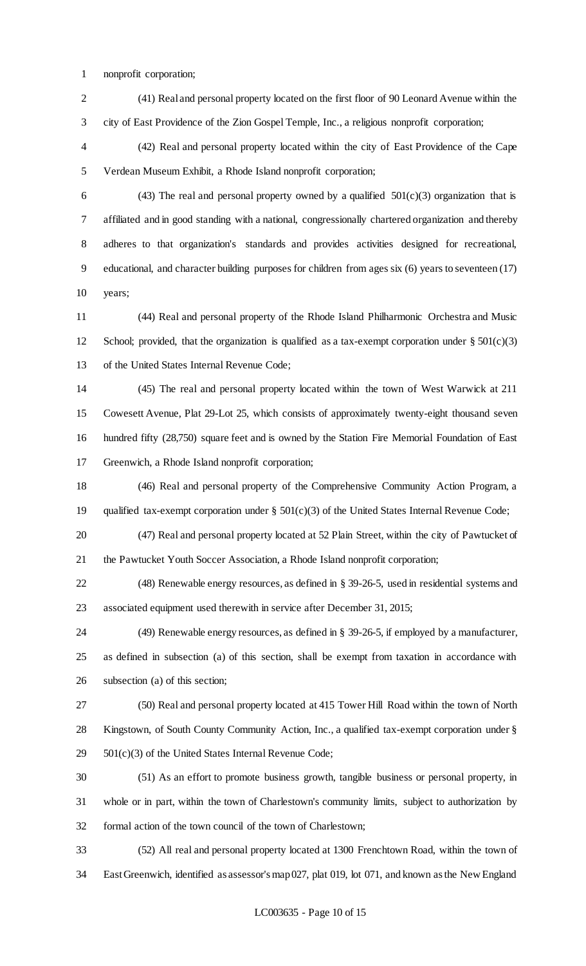nonprofit corporation;

 (41) Real and personal property located on the first floor of 90 Leonard Avenue within the city of East Providence of the Zion Gospel Temple, Inc., a religious nonprofit corporation;

 (42) Real and personal property located within the city of East Providence of the Cape Verdean Museum Exhibit, a Rhode Island nonprofit corporation;

6 (43) The real and personal property owned by a qualified  $501(c)(3)$  organization that is affiliated and in good standing with a national, congressionally chartered organization and thereby adheres to that organization's standards and provides activities designed for recreational, educational, and character building purposes for children from ages six (6) years to seventeen (17) years;

 (44) Real and personal property of the Rhode Island Philharmonic Orchestra and Music 12 School; provided, that the organization is qualified as a tax-exempt corporation under  $\S 501(c)(3)$ of the United States Internal Revenue Code;

 (45) The real and personal property located within the town of West Warwick at 211 Cowesett Avenue, Plat 29-Lot 25, which consists of approximately twenty-eight thousand seven hundred fifty (28,750) square feet and is owned by the Station Fire Memorial Foundation of East Greenwich, a Rhode Island nonprofit corporation;

 (46) Real and personal property of the Comprehensive Community Action Program, a qualified tax-exempt corporation under § 501(c)(3) of the United States Internal Revenue Code;

 (47) Real and personal property located at 52 Plain Street, within the city of Pawtucket of the Pawtucket Youth Soccer Association, a Rhode Island nonprofit corporation;

 (48) Renewable energy resources, as defined in § 39-26-5, used in residential systems and associated equipment used therewith in service after December 31, 2015;

 (49) Renewable energy resources, as defined in § 39-26-5, if employed by a manufacturer, as defined in subsection (a) of this section, shall be exempt from taxation in accordance with subsection (a) of this section;

 (50) Real and personal property located at 415 Tower Hill Road within the town of North Kingstown, of South County Community Action, Inc., a qualified tax-exempt corporation under § 501(c)(3) of the United States Internal Revenue Code;

 (51) As an effort to promote business growth, tangible business or personal property, in whole or in part, within the town of Charlestown's community limits, subject to authorization by formal action of the town council of the town of Charlestown;

 (52) All real and personal property located at 1300 Frenchtown Road, within the town of East Greenwich, identified as assessor's map 027, plat 019, lot 071, and known as the New England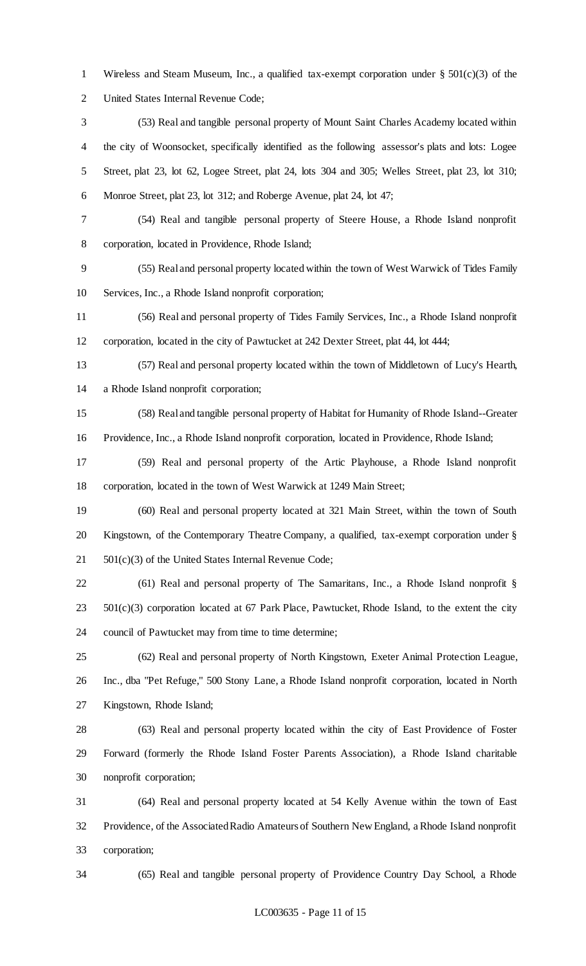Wireless and Steam Museum, Inc., a qualified tax-exempt corporation under § 501(c)(3) of the United States Internal Revenue Code;

- (53) Real and tangible personal property of Mount Saint Charles Academy located within the city of Woonsocket, specifically identified as the following assessor's plats and lots: Logee Street, plat 23, lot 62, Logee Street, plat 24, lots 304 and 305; Welles Street, plat 23, lot 310; Monroe Street, plat 23, lot 312; and Roberge Avenue, plat 24, lot 47;
- (54) Real and tangible personal property of Steere House, a Rhode Island nonprofit

corporation, located in Providence, Rhode Island;

 (55) Real and personal property located within the town of West Warwick of Tides Family Services, Inc., a Rhode Island nonprofit corporation;

 (56) Real and personal property of Tides Family Services, Inc., a Rhode Island nonprofit corporation, located in the city of Pawtucket at 242 Dexter Street, plat 44, lot 444;

 (57) Real and personal property located within the town of Middletown of Lucy's Hearth, a Rhode Island nonprofit corporation;

 (58) Real and tangible personal property of Habitat for Humanity of Rhode Island--Greater Providence, Inc., a Rhode Island nonprofit corporation, located in Providence, Rhode Island;

 (59) Real and personal property of the Artic Playhouse, a Rhode Island nonprofit corporation, located in the town of West Warwick at 1249 Main Street;

 (60) Real and personal property located at 321 Main Street, within the town of South Kingstown, of the Contemporary Theatre Company, a qualified, tax-exempt corporation under § 501(c)(3) of the United States Internal Revenue Code;

 (61) Real and personal property of The Samaritans, Inc., a Rhode Island nonprofit §  $501(c)(3)$  corporation located at 67 Park Place, Pawtucket, Rhode Island, to the extent the city council of Pawtucket may from time to time determine;

 (62) Real and personal property of North Kingstown, Exeter Animal Protection League, Inc., dba "Pet Refuge," 500 Stony Lane, a Rhode Island nonprofit corporation, located in North Kingstown, Rhode Island;

 (63) Real and personal property located within the city of East Providence of Foster Forward (formerly the Rhode Island Foster Parents Association), a Rhode Island charitable nonprofit corporation;

 (64) Real and personal property located at 54 Kelly Avenue within the town of East Providence, of the Associated Radio Amateurs of Southern New England, a Rhode Island nonprofit corporation;

(65) Real and tangible personal property of Providence Country Day School, a Rhode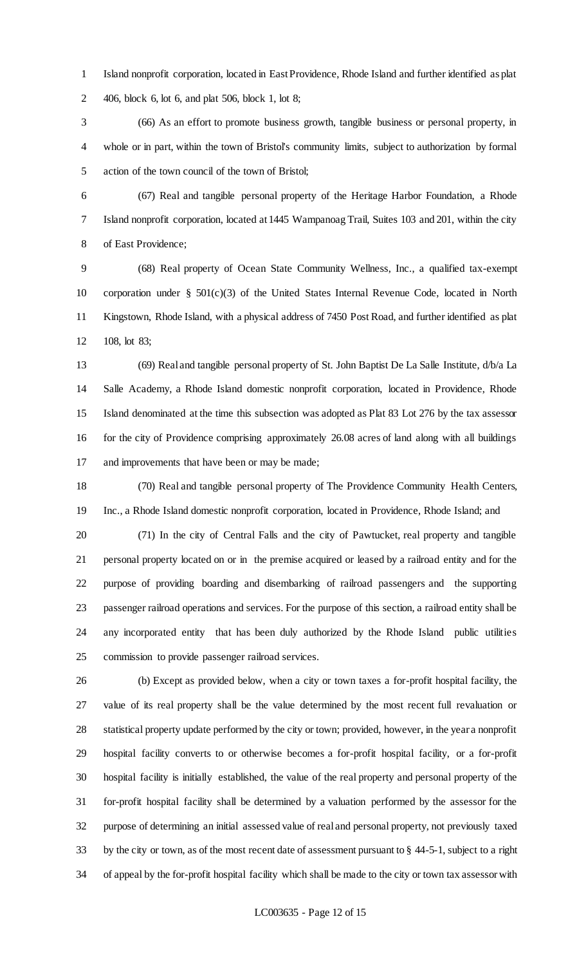Island nonprofit corporation, located in East Providence, Rhode Island and further identified as plat 406, block 6, lot 6, and plat 506, block 1, lot 8;

 (66) As an effort to promote business growth, tangible business or personal property, in whole or in part, within the town of Bristol's community limits, subject to authorization by formal action of the town council of the town of Bristol;

 (67) Real and tangible personal property of the Heritage Harbor Foundation, a Rhode Island nonprofit corporation, located at 1445 Wampanoag Trail, Suites 103 and 201, within the city of East Providence;

 (68) Real property of Ocean State Community Wellness, Inc., a qualified tax-exempt corporation under § 501(c)(3) of the United States Internal Revenue Code, located in North Kingstown, Rhode Island, with a physical address of 7450 Post Road, and further identified as plat 108, lot 83;

 (69) Real and tangible personal property of St. John Baptist De La Salle Institute, d/b/a La Salle Academy, a Rhode Island domestic nonprofit corporation, located in Providence, Rhode Island denominated at the time this subsection was adopted as Plat 83 Lot 276 by the tax assessor for the city of Providence comprising approximately 26.08 acres of land along with all buildings and improvements that have been or may be made;

 (70) Real and tangible personal property of The Providence Community Health Centers, Inc., a Rhode Island domestic nonprofit corporation, located in Providence, Rhode Island; and

 (71) In the city of Central Falls and the city of Pawtucket, real property and tangible personal property located on or in the premise acquired or leased by a railroad entity and for the purpose of providing boarding and disembarking of railroad passengers and the supporting passenger railroad operations and services. For the purpose of this section, a railroad entity shall be any incorporated entity that has been duly authorized by the Rhode Island public utilities commission to provide passenger railroad services.

 (b) Except as provided below, when a city or town taxes a for-profit hospital facility, the value of its real property shall be the value determined by the most recent full revaluation or statistical property update performed by the city or town; provided, however, in the year a nonprofit hospital facility converts to or otherwise becomes a for-profit hospital facility, or a for-profit hospital facility is initially established, the value of the real property and personal property of the for-profit hospital facility shall be determined by a valuation performed by the assessor for the purpose of determining an initial assessed value of real and personal property, not previously taxed by the city or town, as of the most recent date of assessment pursuant to § 44-5-1, subject to a right of appeal by the for-profit hospital facility which shall be made to the city or town tax assessor with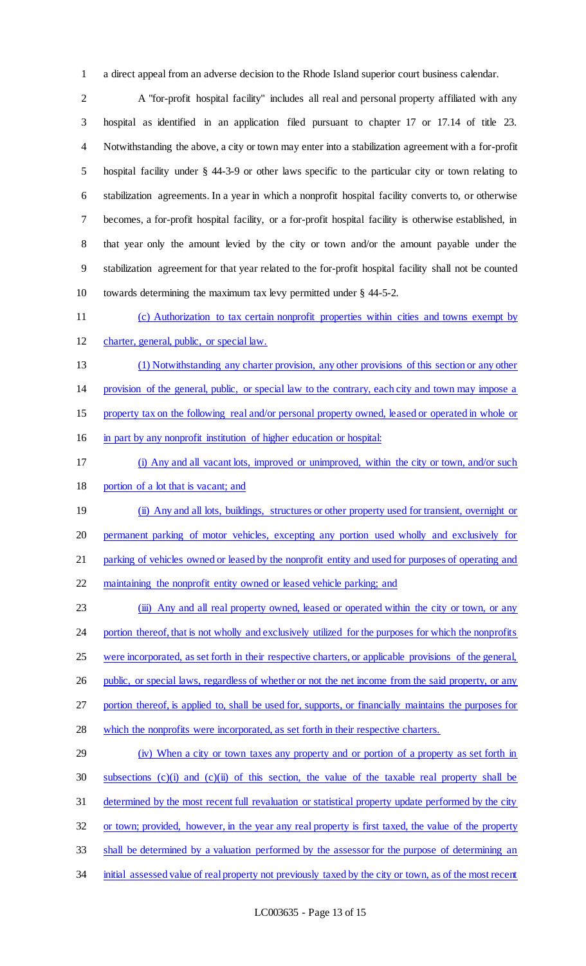a direct appeal from an adverse decision to the Rhode Island superior court business calendar.

 A "for-profit hospital facility" includes all real and personal property affiliated with any hospital as identified in an application filed pursuant to chapter 17 or 17.14 of title 23. Notwithstanding the above, a city or town may enter into a stabilization agreement with a for-profit hospital facility under § 44-3-9 or other laws specific to the particular city or town relating to stabilization agreements. In a year in which a nonprofit hospital facility converts to, or otherwise becomes, a for-profit hospital facility, or a for-profit hospital facility is otherwise established, in that year only the amount levied by the city or town and/or the amount payable under the stabilization agreement for that year related to the for-profit hospital facility shall not be counted towards determining the maximum tax levy permitted under § 44-5-2.

(c) Authorization to tax certain nonprofit properties within cities and towns exempt by

charter, general, public, or special law.

(1) Notwithstanding any charter provision, any other provisions of this section or any other

provision of the general, public, or special law to the contrary, each city and town may impose a

property tax on the following real and/or personal property owned, leased or operated in whole or

in part by any nonprofit institution of higher education or hospital:

- (i) Any and all vacant lots, improved or unimproved, within the city or town, and/or such
- 18 portion of a lot that is vacant; and

 (ii) Any and all lots, buildings, structures or other property used for transient, overnight or permanent parking of motor vehicles, excepting any portion used wholly and exclusively for parking of vehicles owned or leased by the nonprofit entity and used for purposes of operating and

maintaining the nonprofit entity owned or leased vehicle parking; and

23 (iii) Any and all real property owned, leased or operated within the city or town, or any 24 portion thereof, that is not wholly and exclusively utilized for the purposes for which the nonprofits were incorporated, as set forth in their respective charters, or applicable provisions of the general, 26 public, or special laws, regardless of whether or not the net income from the said property, or any portion thereof, is applied to, shall be used for, supports, or financially maintains the purposes for 28 which the nonprofits were incorporated, as set forth in their respective charters.

# (iv) When a city or town taxes any property and or portion of a property as set forth in subsections (c)(i) and (c)(ii) of this section, the value of the taxable real property shall be determined by the most recent full revaluation or statistical property update performed by the city or town; provided, however, in the year any real property is first taxed, the value of the property 33 shall be determined by a valuation performed by the assessor for the purpose of determining an

34 initial assessed value of real property not previously taxed by the city or town, as of the most recent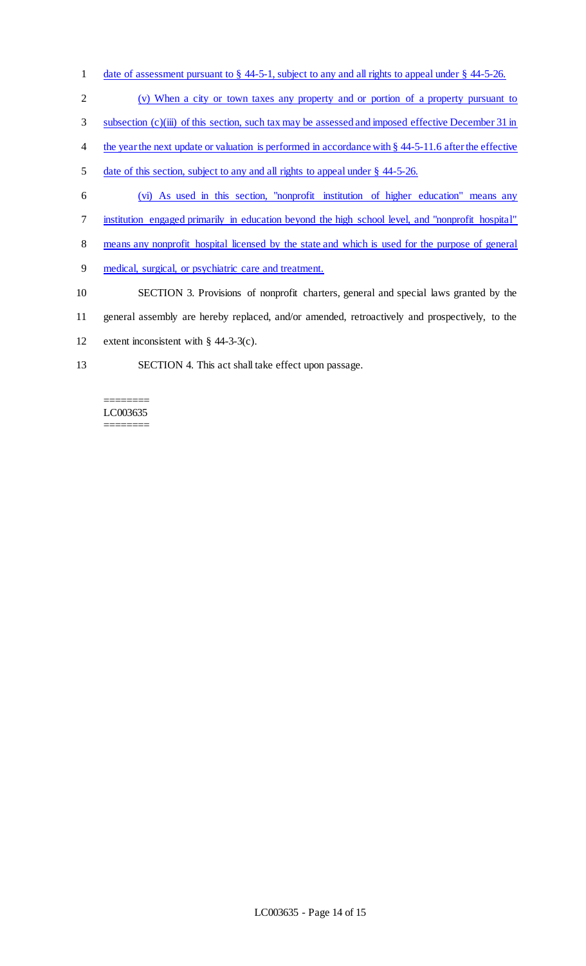- 1 date of assessment pursuant to  $\S$  44-5-1, subject to any and all rights to appeal under  $\S$  44-5-26.
- 2 (v) When a city or town taxes any property and or portion of a property pursuant to
- 3 subsection (c)(iii) of this section, such tax may be assessed and imposed effective December 31 in
- 4 the year the next update or valuation is performed in accordance with § 44-5-11.6 after the effective
- 5 date of this section, subject to any and all rights to appeal under § 44-5-26.
- 6 (vi) As used in this section, "nonprofit institution of higher education" means any
- 7 institution engaged primarily in education beyond the high school level, and "nonprofit hospital"
- 8 means any nonprofit hospital licensed by the state and which is used for the purpose of general
- 9 medical, surgical, or psychiatric care and treatment.
- 10 SECTION 3. Provisions of nonprofit charters, general and special laws granted by the
- 11 general assembly are hereby replaced, and/or amended, retroactively and prospectively, to the
- 12 extent inconsistent with § 44-3-3(c).
- 13 SECTION 4. This act shall take effect upon passage.

#### ======== LC003635 ========